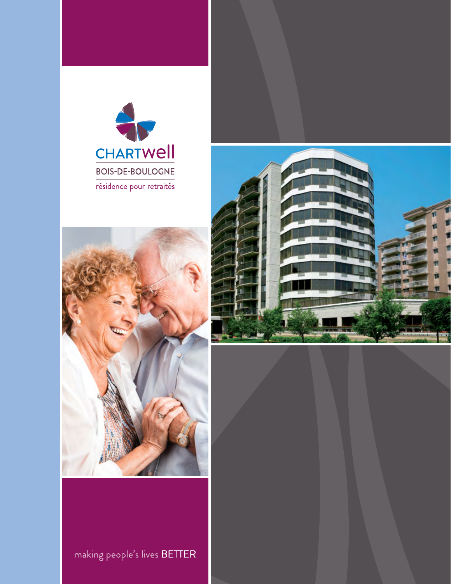





making people's lives BETTER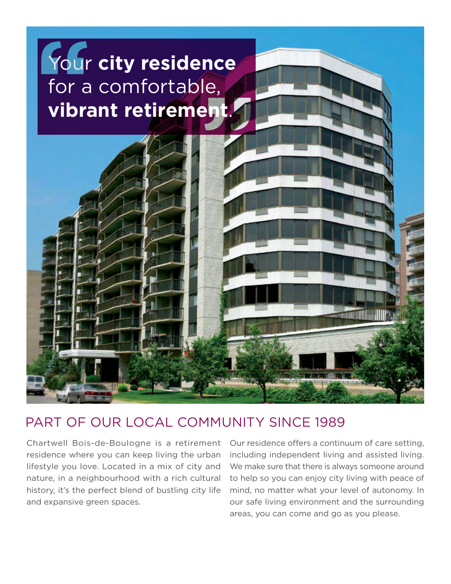

### PART OF OUR LOCAL COMMUNITY SINCE 1989

Chartwell Bois-de-Boulogne is a retirement residence where you can keep living the urban lifestyle you love. Located in a mix of city and nature, in a neighbourhood with a rich cultural history, it's the perfect blend of bustling city life and expansive green spaces.

Our residence offers a continuum of care setting, including independent living and assisted living. We make sure that there is always someone around to help so you can enjoy city living with peace of mind, no matter what your level of autonomy. In our safe living environment and the surrounding areas, you can come and go as you please.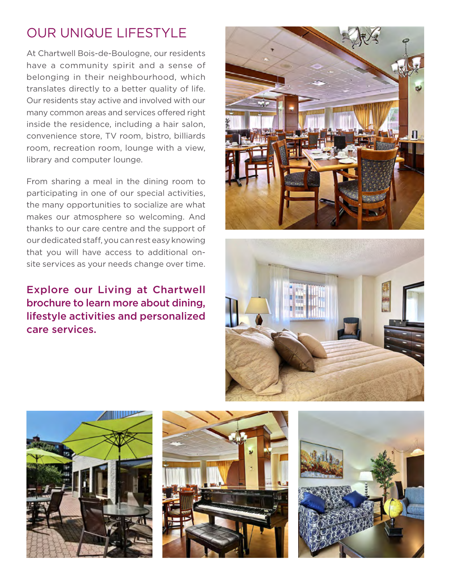# OUR UNIQUE LIFESTYLE

At Chartwell Bois-de-Boulogne, our residents have a community spirit and a sense of belonging in their neighbourhood, which translates directly to a better quality of life. Our residents stay active and involved with our many common areas and services offered right inside the residence, including a hair salon, convenience store, TV room, bistro, billiards room, recreation room, lounge with a view, library and computer lounge.

From sharing a meal in the dining room to participating in one of our special activities, the many opportunities to socialize are what makes our atmosphere so welcoming. And thanks to our care centre and the support of our dedicated staff, you can rest easy knowing that you will have access to additional onsite services as your needs change over time.

Explore our Living at Chartwell brochure to learn more about dining, lifestyle activities and personalized care services.









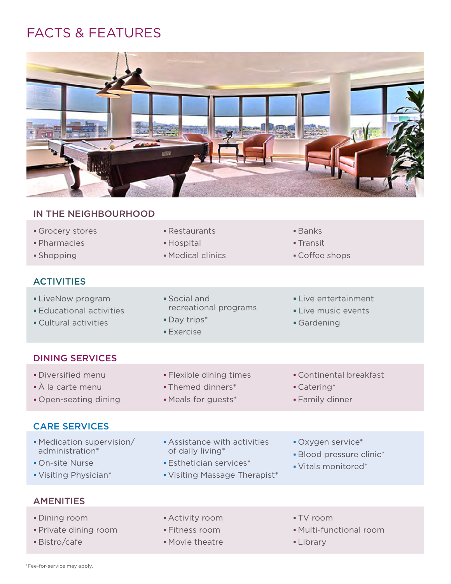# FACTS & FEATURES



#### IN THE NEIGHBOURHOOD

| Grocery stores |  |
|----------------|--|
|----------------|--|

- Pharmacies **Hospital II** Hospital **Transit**
- 

#### **ACTIVITIES**

- LiveNow program 
Social and 
Live entertainment • Educational activities **Educational example 2 Live music events**
- Cultural activities **Cultural activities Gardening** 
	- **Exercise**
- Restaurants **Banks** 
	-
- **Shopping Medical clinics** Shopping Coffee shops
	-
	-
	-

#### DINING SERVICES

- 
- 
- Open-seating dining Meals for guests\* Family dinner

#### CARE SERVICES

- Medication supervision/ Assistance with activities Oxygen service\* administration\* of daily living\* Blood pressure clinic\*
- 
- Visiting Physician\* Visiting Massage Therapist\*

### À la carte menu Themed dinners\* Catering\*

- 
- Diversified menu Flexible dining times Fontinental breakfast
	-
	-
	-
	-
- On-site Nurse **Esthetician services** \* The Vitals monitored \*
- **AMENITIES**
- Dining room Activity room TV room
- 
- 
- 
- 
- **Bistro/cafe Movie theatre Library**
- 
- Private dining room Fitness room Multi-functional room
	-